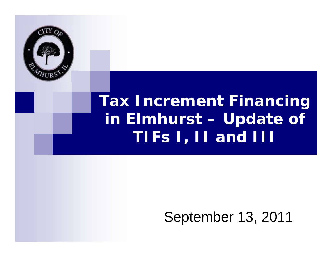

## **Tax Increment Financing in Elmhurst – Update of TIFs I, II and III**

### September 13, 2011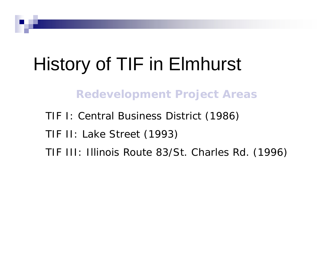# History of TIF in Elmhurst

**Redevelopment Project Areas**

TIF I: Central Business District (1986) TIF II: Lake Street (1993) TIF III: Illinois Route 83/St. Charles Rd. (1996)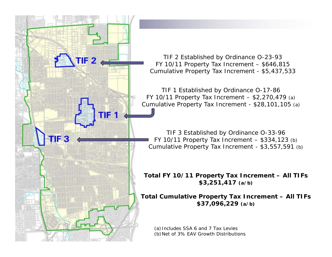TIF 2 Established by Ordinance O-23-93 FY 10/11 Property Tax Increment – \$646,815 Cumulative Property Tax Increment - \$5,437,533

 $TIF2$ 

TIF 1 Established by Ordinance O-17-86 FY 10/11 Property Tax Increment – \$2,270,479 (a) Cumulative Property Tax Increment - \$28,101,105 (a)

TIF 3 Established by Ordinance O-33-96 FY 10/11 Property Tax Increment  $-$  \$334,123 (b) Cumulative Property Tax Increment - \$3,557,591 (b)

**Total FY 10/11 Property Tax Increment – All TIFs \$3,251,417 (a/b)**

**Total Cumulative Property Tax Increment – All TIFs \$37,096,229 (a/b)**

(a) Includes SSA 6 and 7 Tax Levies (b) Net of 3% EAV Growth Distributions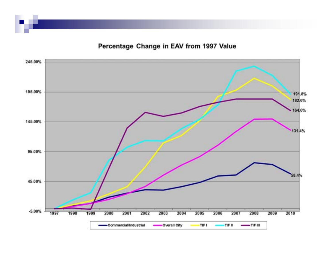Percentage Change in EAV from 1997 Value

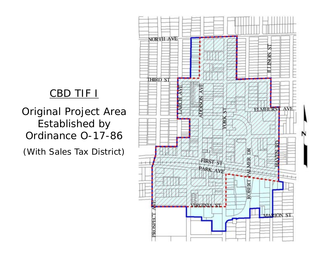### CBD TIF I

Original Project Area Established by Ordinance O-17-86

(With Sales Tax District)

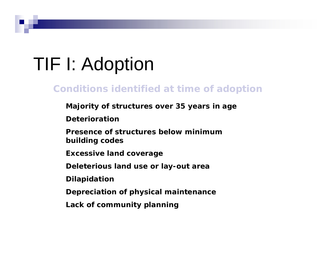# TIF I: Adoption

#### **Conditions identified at time of adoption**

**Majority of structures over 35 years in age**

**Deterioration**

**Presence of structures below minimum building codes**

**Excessive land coverage**

**Deleterious land use or lay-out area**

**Dilapidation**

**Depreciation of physical maintenance**

**Lack of community planning**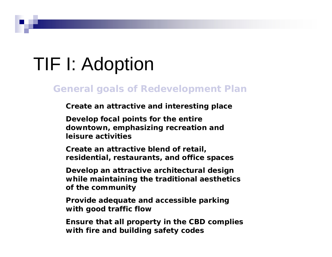# TIF I: Adoption

#### **General goals of Redevelopment Plan**

**Create an attractive and interesting place**

**Develop focal points for the entire downtown, emphasizing recreation and leisure activities**

**Create an attractive blend of retail, residential, restaurants, and office spaces**

**Develop an attractive architectural design while maintaining the traditional aesthetics of the community**

**Provide adequate and accessible parking with good traffic flow**

**Ensure that all property in the CBD complies with fire and building safety codes**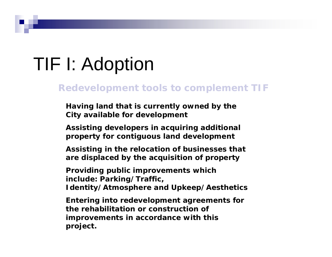# TIF I: Adoption

#### **Redevelopment tools to complement TIF**

**Having land that is currently owned by the City available for development**

**Assisting developers in acquiring additional property for contiguous land development**

**Assisting in the relocation of businesses that are displaced by the acquisition of property**

**Providing public improvements which include: Parking/Traffic, Identity/Atmosphere and Upkeep/Aesthetics**

**Entering into redevelopment agreements for the rehabilitation or construction of improvements in accordance with this project.**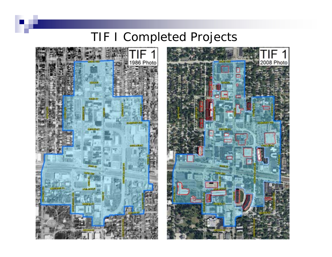### TIF I Completed Projects



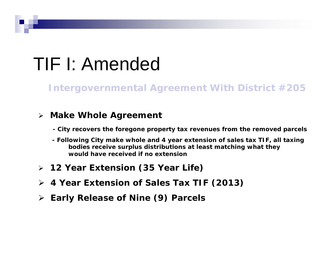# TIF I: Amended

**Intergovernmental Agreement With District #205**

#### **Make Whole Agreement**

- **- City recovers the foregone property tax revenues from the removed parcels**
- **- Following City make whole and 4 year extension of sales tax TIF, all taxing bodies receive surplus distributions at least matching what they would have received if no extension**
- **12 Year Extension (35 Year Life)**
- **4 Year Extension of Sales Tax TIF (2013)**
- **Early Release of Nine (9) Parcels**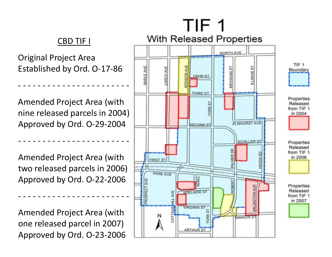#### CBD TIF I

Original Project Area Established by Ord. O‐17‐86

Amended Project Area (with nine released parcels in 2004) Approved by Ord. O‐29‐2004

‐‐‐‐‐‐‐‐‐‐‐‐‐‐‐‐‐‐‐‐‐‐‐

‐‐‐‐‐‐‐‐‐‐‐‐‐‐‐‐‐‐‐‐‐‐‐

Amended Project Area (with two released parcels in 2006) Approved by Ord. O‐22‐2006

Amended Project Area (with one released parcel in 2007) Approved by Ord. O‐23‐2006

‐‐‐‐‐‐‐‐‐‐‐‐‐‐‐‐‐‐‐‐‐‐‐

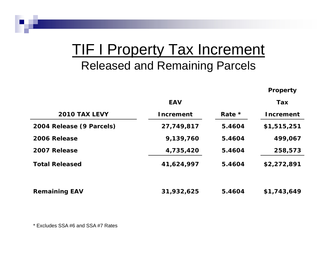### **TIF I Property Tax Increment** Released and Remaining Parcels

**Property**

|                          | EAV              |        | Tax              |
|--------------------------|------------------|--------|------------------|
| <b>2010 TAX LEVY</b>     | <b>Increment</b> | Rate * | <b>Increment</b> |
| 2004 Release (9 Parcels) | 27,749,817       | 5.4604 | \$1,515,251      |
| 2006 Release             | 9,139,760        | 5.4604 | 499,067          |
| 2007 Release             | 4,735,420        | 5.4604 | 258,573          |
| <b>Total Released</b>    | 41,624,997       | 5.4604 | \$2,272,891      |
| <b>Remaining EAV</b>     | 31,932,625       | 5.4604 | \$1,743,649      |

\* Excludes SSA #6 and SSA #7 Rates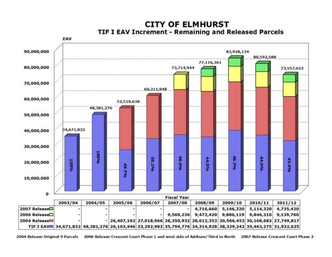

#### **CITY OF ELMHURST TIF I EAV Increment - Remaining and Released Parcels**

2004 Release-Original 9 Parcels 2006 Release-Crescent Court Phase 1 and west side of Addison/Third to North 2007 Release-Crescent Court Phase 2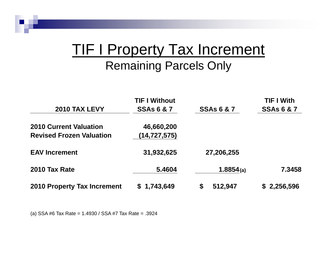### **TIF I Property Tax Increment** Remaining Parcels Only

|                                    | <b>TIF I Without</b>  |                       | <b>TIF I With</b>     |
|------------------------------------|-----------------------|-----------------------|-----------------------|
| 2010 TAX LEVY                      | <b>SSAs 6 &amp; 7</b> | <b>SSAs 6 &amp; 7</b> | <b>SSAs 6 &amp; 7</b> |
| <b>2010 Current Valuation</b>      | 46,660,200            |                       |                       |
| <b>Revised Frozen Valuation</b>    | (14, 727, 575)        |                       |                       |
| <b>EAV Increment</b>               | 31,932,625            | 27,206,255            |                       |
| 2010 Tax Rate                      | 5.4604                | 1.8854(a)             | 7.3458                |
| <b>2010 Property Tax Increment</b> | \$1,743,649           | 512,947<br>\$         | \$2,256,596           |

(a) SSA #6 Tax Rate = 1.4930 / SSA #7 Tax Rate = .3924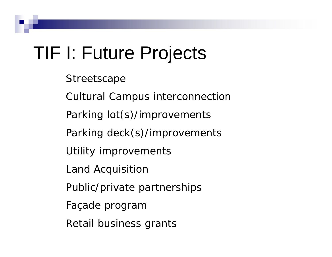## TIF I: Future Projects

- **Streetscape**
- Cultural Campus interconnection
- Parking lot(s)/improvements
- Parking deck(s)/improvements
- Utility improvements
- Land Acquisition
- Public/private partnerships
- Façade program
- Retail business grants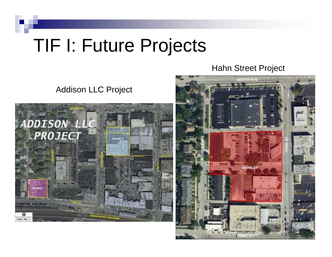## TIF I: Future Projects

Hahn Street Project

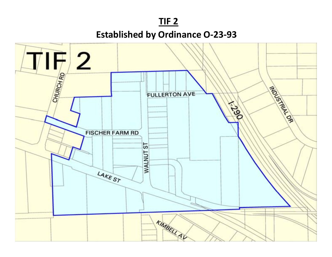

**Established by Ordinance O-23-93** 

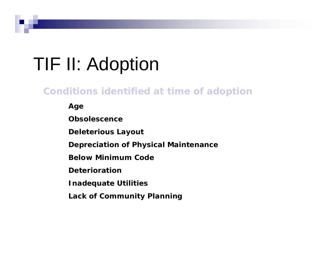# TIF II: Adoption

### **Conditions identified at time of adoption**

**Age**

**Obsolescence**

**Deleterious Layout**

**Depreciation of Physical Maintenance**

**Below Minimum Code**

**Deterioration**

**Inadequate Utilities**

**Lack of Community Planning**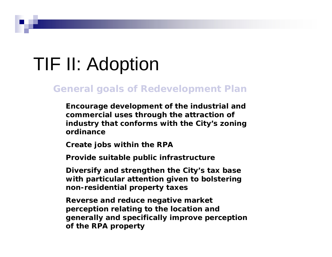# TIF II: Adoption

#### **General goals of Redevelopment Plan**

**Encourage development of the industrial and commercial uses through the attraction of industry that conforms with the City's zoning ordinance**

**Create jobs within the RPA**

**Provide suitable public infrastructure**

**Diversify and strengthen the City's tax base with particular attention given to bolstering non-residential property taxes**

**Reverse and reduce negative market perception relating to the location and generally and specifically improve perception of the RPA property**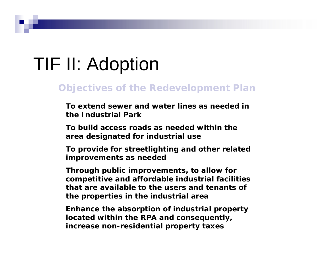# TIF II: Adoption

#### **Objectives of the Redevelopment Plan**

**To extend sewer and water lines as needed in the Industrial Park**

**To build access roads as needed within the area designated for industrial use**

**To provide for streetlighting and other related improvements as needed**

**Through public improvements, to allow for competitive and affordable industrial facilities that are available to the users and tenants of the properties in the industrial area**

**Enhance the absorption of industrial property located within the RPA and consequently, increase non-residential property taxes**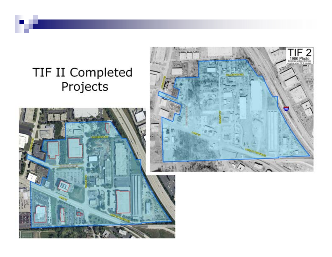### TIF II Completed Projects



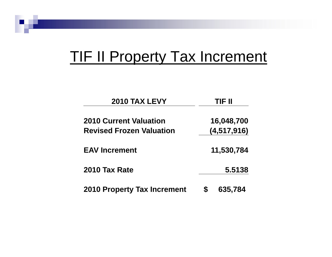## TIF II Property Tax Increment

| <b>2010 TAX LEVY</b>               | TIF II     |               |
|------------------------------------|------------|---------------|
| <b>2010 Current Valuation</b>      |            | 16,048,700    |
| <b>Revised Frozen Valuation</b>    |            | (4, 517, 916) |
| <b>EAV Increment</b>               | 11,530,784 |               |
| 2010 Tax Rate                      |            | 5.5138        |
| <b>2010 Property Tax Increment</b> |            | 635,784       |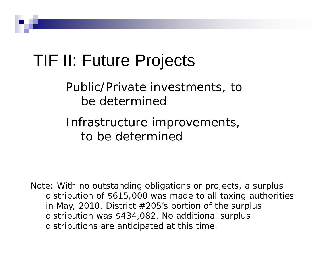## TIF II: Future Projects

Public/Private investments, to be determined

Infrastructure improvements, to be determined

Note: With no outstanding obligations or projects, a surplus distribution of \$615,000 was made to all taxing authorities in May, 2010. District  $#205$ 's portion of the surplus distribution was \$434,082. No additional surplus distributions are anticipated at this time.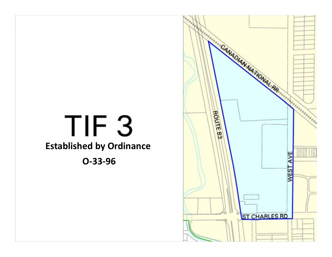

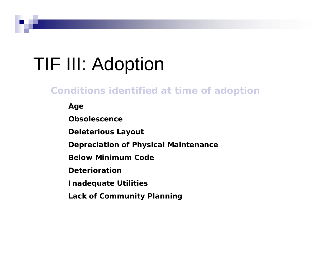# TIF III: Adoption

### **Conditions identified at time of adoption**

**Age**

**Obsolescence**

**Deleterious Layout**

**Depreciation of Physical Maintenance**

**Below Minimum Code**

**Deterioration**

**Inadequate Utilities**

**Lack of Community Planning**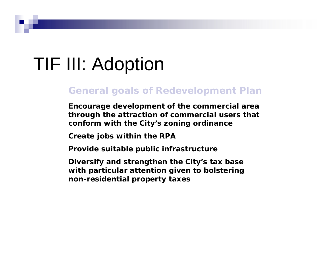## TIF III: Adoption

#### **General goals of Redevelopment Plan**

**Encourage development of the commercial area through the attraction of commercial users that conform with the City's zoning ordinance**

**Create jobs within the RPA**

**Provide suitable public infrastructure**

**Diversify and strengthen the City's tax base with particular attention given to bolstering non-residential property taxes**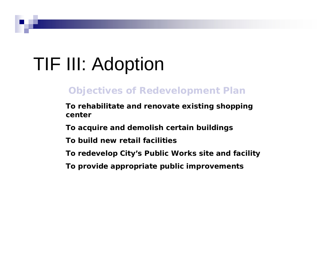# TIF III: Adoption

### **Objectives of Redevelopment Plan**

**To rehabilitate and renovate existing shopping center**

**To acquire and demolish certain buildings**

**To build new retail facilities**

**To redevelop City's Public Works site and facility**

**To provide appropriate public improvements**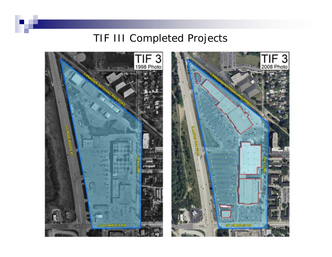### TIF III Completed Projects

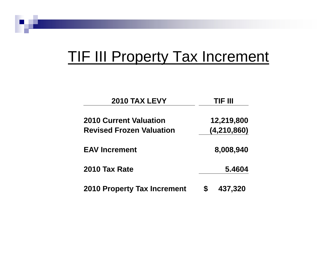## **TIF III Property Tax Increment**

| <b>2010 TAX LEVY</b>               | TIF III   |               |
|------------------------------------|-----------|---------------|
| <b>2010 Current Valuation</b>      |           | 12,219,800    |
| <b>Revised Frozen Valuation</b>    |           | (4, 210, 860) |
| <b>EAV Increment</b>               | 8,008,940 |               |
| 2010 Tax Rate                      |           | 5.4604        |
| <b>2010 Property Tax Increment</b> |           | 437,320       |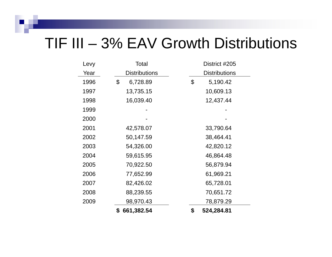### TIF III – 3% EAV Growth Distributions

| Levy | Total                | District #205        |
|------|----------------------|----------------------|
| Year | <b>Distributions</b> | <b>Distributions</b> |
| 1996 | \$<br>6,728.89       | \$<br>5,190.42       |
| 1997 | 13,735.15            | 10,609.13            |
| 1998 | 16,039.40            | 12,437.44            |
| 1999 |                      |                      |
| 2000 |                      |                      |
| 2001 | 42,578.07            | 33,790.64            |
| 2002 | 50,147.59            | 38,464.41            |
| 2003 | 54,326.00            | 42,820.12            |
| 2004 | 59,615.95            | 46,864.48            |
| 2005 | 70,922.50            | 56,879.94            |
| 2006 | 77,652.99            | 61,969.21            |
| 2007 | 82,426.02            | 65,728.01            |
| 2008 | 88,239.55            | 70,651.72            |
| 2009 | 98,970.43            | 78,879.29            |
|      | \$<br>661,382.54     | \$<br>524,284.81     |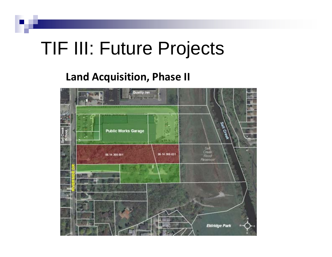## TIF III: Future Projects

### **Land Acquisition, Phase II**

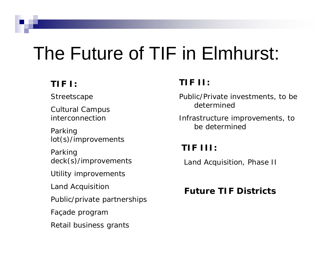# The Future of TIF in Elmhurst:

### **TIF I:**

**Streetscape** 

Cultural Campus interconnection

Parking lot(s)/improvements

Parking deck(s)/improvements

Utility improvements

Land Acquisition

Public/private partnerships

Façade program

Retail business grants

### **TIF II:**

Public/Private investments, to be determined

Infrastructure improvements, to be determined

### **TIF III:**

Land Acquisition, Phase II

#### **Future TIF Districts**